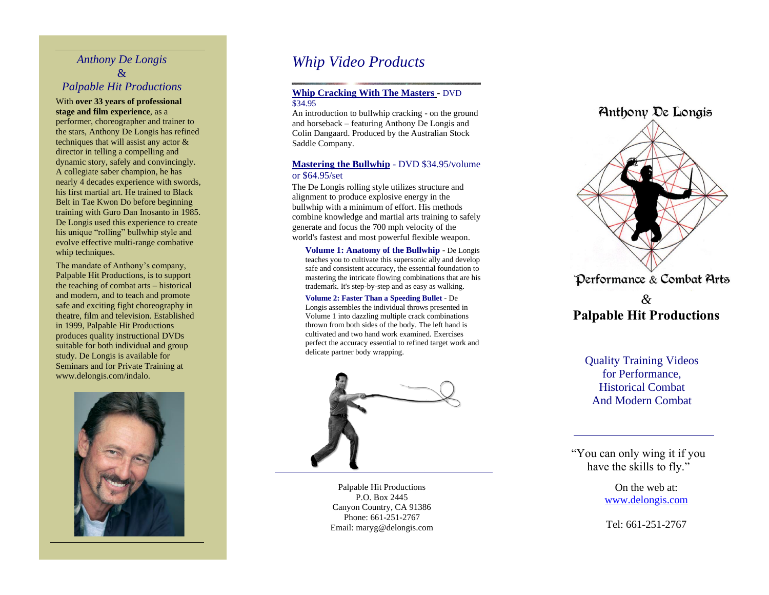# *Anthony De Longis* & *Palpable Hit Productions*

### With **over 33 years of professional stage and film experience**, as a

performer, choreographer and trainer to the stars, Anthony De Longis has refined techniques that will assist any actor & director in telling a compelling and dynamic story, safely and convincingly. A collegiate saber champion, he has nearly 4 decades experience with swords, his first martial art. He trained to Black Belt in Tae Kwon Do before beginning training with Guro Dan Inosanto in 1985. De Longis used this experience to create his unique "rolling" bullwhip style and evolve effective multi -range combative whip techniques.

The mandate of Anthony's company, Palpable Hit Productions, is to support the teaching of combat arts – historical and modern, and to teach and promote safe and exciting fight choreography in theatre, film and television. Established in 1999, Palpable Hit Productions produces quality instructional DVDs suitable for both individual and group study. De Longis is available for Seminars and for Private Training at www.delongis.com/indalo.



# *Whip Video Products*

### **Whip Cracking With The Masters** - DVD \$34.95

An introduction to bullwhip cracking - on the ground and horseback – featuring Anthony De Longis and Colin Dangaard. Produced by the Australian Stock Saddle Company.

### **Mastering the Bullwhip** - DVD \$34.95/volume or \$64.95/set

The De Longis rolling style utilizes structure and alignment to produce explosive energy in the bullwhip with a minimum of effort. His methods combine knowledge and martial arts training to safely generate and focus the 700 mph velocity of the world's fastest and most powerful flexible weapon.

**Volume 1: Anatomy of the Bullwhip** - De Longis teaches you to cultivate this supersonic ally and develop safe and consistent accuracy, the essential foundation to mastering the intricate flowing combinations that are his trademark. It's step -by -step and as easy as walking.

**Volume 2: Faster Than a Speeding Bullet** - De Longis assembles the individual throws presented in Volume 1 into dazzling multiple crack combinations thrown from both sides of the body. The left hand is cultivated and two hand work examined. Exercises perfect the accuracy essential to refined target work and delicate partner body wrapping.



Palpable Hit Productions P.O. Box 2445 Canyon Country, CA 91386 Phone: 661-251-2767 Email: maryg@delongis.com



# *&* **Palpable Hit Productions**

Quality Training Videos for Performance, Historical Combat And Modern Combat

"You can only wing it if you have the skills to fly."

> On the web at: [www.delongis.com](http://www.delongis.com/)

Tel: 661 -251 -2767